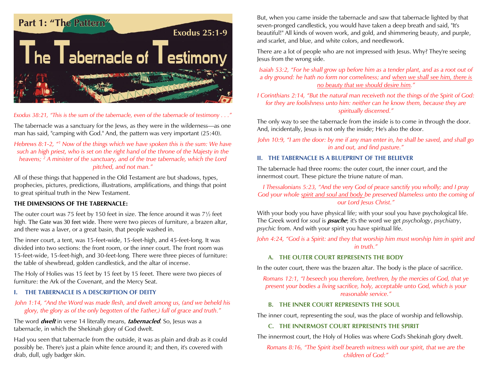

*Exodus 38:21, "This is the sum of the tabernacle, even of the tabernacle of testimony . . ."*

The tabernacle was a sanctuary for the Jews, as they were in the wilderness—as one man has said, "camping with God." And, the pattern was very important (25:40).

*Hebrews 8:1-2, "<sup>1</sup> Now of the things which we have spoken this is the sum: We have such an high priest, who is set on the right hand of the throne of the Majesty in the heavens; <sup>2</sup> A minister of the sanctuary, and of the true tabernacle, which the Lord pitched, and not man."*

All of these things that happened in the Old Testament are but shadows, types, prophecies, pictures, predictions, illustrations, amplifications, and things that point to great spiritual truth in the New Testament.

# **THE DIMENSIONS OF THE TABERNACLE:**

The outer court was 75 feet by 150 feet in size. The fence around it was 7½ feet high. The Gate was 30 feet wide. There were two pieces of furniture, a brazen altar, and there was a laver, or a great basin, that people washed in.

The inner court, a tent, was 15-feet-wide, 15-feet-high, and 45-feet-long. It was divided into two sections: the front room, or the inner court. The front room was 15-feet-wide, 15-feet-high, and 30-feet-long. There were three pieces of furniture: the table of shewbread, golden candlestick, and the altar of incense.

The Holy of Holies was 15 feet by 15 feet by 15 feeet. There were two pieces of furniture: the Ark of the Covenant, and the Mercy Seat.

## **I. THE TABERNACLE IS A DESCRIPTION OF DEITY**

#### *John 1:14, "And the Word was made flesh, and dwelt among us, (and we beheld his glory, the glory as of the only begotten of the Father,) full of grace and truth."*

The word **dwelt** in verse 14 literally means, **tabernacled**. So, Jesus was a tabernacle, in which the Shekinah glory of God dwelt.

Had you seen that tabernacle from the outside, it was as plain and drab as it could possibly be. There's just a plain white fence around it; and then, it's covered with drab, dull, ugly badger skin.

But, when you came inside the tabernacle and saw that tabernacle lighted by that seven-pronged candlestick, you would have taken a deep breath and said, "It's beautiful!" All kinds of woven work, and gold, and shimmering beauty, and purple, and scarlet, and blue, and white colors, and needlework.

There are a lot of people who are not impressed with Jesus. Why? They're seeing Jesus from the wrong side.

*Isaiah 53:2, "For he shall grow up before him as a tender plant, and as a root out of a dry ground: he hath no form nor comeliness; and when we shall see him, there is no beauty that we should desire him."*

*I Corinthians 2:14, "But the natural man receiveth not the things of the Spirit of God: for they are foolishness unto him: neither can he know them, because they are spiritually discerned."*

The only way to see the tabernacle from the inside is to come in through the door. And, incidentally, Jesus is not only the inside; He's also the door.

*John 10:9, "I am the door: by me if any man enter in, he shall be saved, and shall go in and out, and find pasture."*

#### **II. THE TABERNACLE IS A BLUEPRINT OF THE BELIEVER**

The tabernacle had three rooms: the outer court, the inner court, and the innermost court. These picture the triune nature of man.

*I Thessalonians 5:23, "And the very God of peace sanctify you wholly; and I pray*  God your whole spirit and soul and body be preserved blameless unto the coming of *our Lord Jesus Christ."*

With your body you have physical life; with your soul you have psychological life. The Greek word for *soul* is **psuche**; it's the word we get *psychology*, *psychiatry*, *psychic* from. And with your spirit you have spiritual life.

*John 4:24, "God is a Spirit: and they that worship him must worship him in spirit and in truth."*

# **A. THE OUTER COURT REPRESENTS THE BODY**

In the outer court, there was the brazen altar. The body is the place of sacrifice.

*Romans 12:1, "I beseech you therefore, brethren, by the mercies of God, that ye present your bodies a living sacrifice, holy, acceptable unto God, which is your reasonable service."*

## **B. THE INNER COURT REPRESENTS THE SOUL**

The inner court, representing the soul, was the place of worship and fellowship.

# **C. THE INNERMOST COURT REPRESENTS THE SPIRIT**

The innermost court, the Holy of Holies was where God's Shekinah glory dwelt.

*Romans 8:16, "The Spirit itself beareth witness with our spirit, that we are the children of God:"*